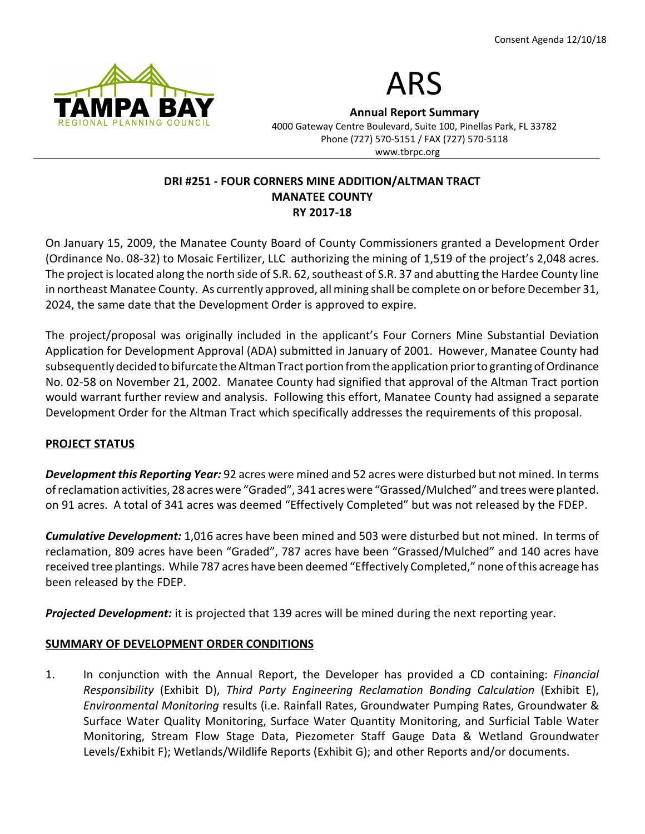



Annual Report Summary 4000 Gateway Centre Boulevard, Suite 100, Pinellas Park, FL 33782

Phone (727) 570-5151 / FAX (727) 570-5118 www.tbrpc.org

# DRI #251 - FOUR CORNERS MINE ADDITION/ALTMAN TRACT MANATEE COUNTY RY 2017-18

On January 15, 2009, the Manatee County Board of County Commissioners granted a Development Order (Ordinance No. 08-32) to Mosaic Fertilizer, LLC authorizing the mining of 1,519 of the project's 2,048 acres. The project is located along the north side of S.R. 62, southeast of S.R. 37 and abutting the Hardee County line in northeast Manatee County. As currently approved, all mining shall be complete on or before December 31, 2024, the same date that the Development Order is approved to expire.

The project/proposal was originally included in the applicant's Four Corners Mine Substantial Deviation Application for Development Approval (ADA) submitted in January of 2001. However, Manatee County had subsequently decided to bifurcate the Altman Tract portion from the application prior to granting of Ordinance No. 02-58 on November 21, 2002. Manatee County had signified that approval of the Altman Tract portion would warrant further review and analysis. Following this effort, Manatee County had assigned a separate Development Order for the Altman Tract which specifically addresses the requirements of this proposal.

# PROJECT STATUS

Development this Reporting Year: 92 acres were mined and 52 acres were disturbed but not mined. In terms of reclamation activities, 28 acres were "Graded", 341 acres were "Grassed/Mulched" and trees were planted. on 91 acres. A total of 341 acres was deemed "Effectively Completed" but was not released by the FDEP.

**Cumulative Development:** 1,016 acres have been mined and 503 were disturbed but not mined. In terms of reclamation, 809 acres have been "Graded", 787 acres have been "Grassed/Mulched" and 140 acres have received tree plantings. While 787 acres have been deemed "Effectively Completed," none of this acreage has been released by the FDEP.

**Projected Development:** it is projected that 139 acres will be mined during the next reporting year.

# SUMMARY OF DEVELOPMENT ORDER CONDITIONS

1. In conjunction with the Annual Report, the Developer has provided a CD containing: Financial Responsibility (Exhibit D), Third Party Engineering Reclamation Bonding Calculation (Exhibit E), Environmental Monitoring results (i.e. Rainfall Rates, Groundwater Pumping Rates, Groundwater & Surface Water Quality Monitoring, Surface Water Quantity Monitoring, and Surficial Table Water Monitoring, Stream Flow Stage Data, Piezometer Staff Gauge Data & Wetland Groundwater Levels/Exhibit F); Wetlands/Wildlife Reports (Exhibit G); and other Reports and/or documents.